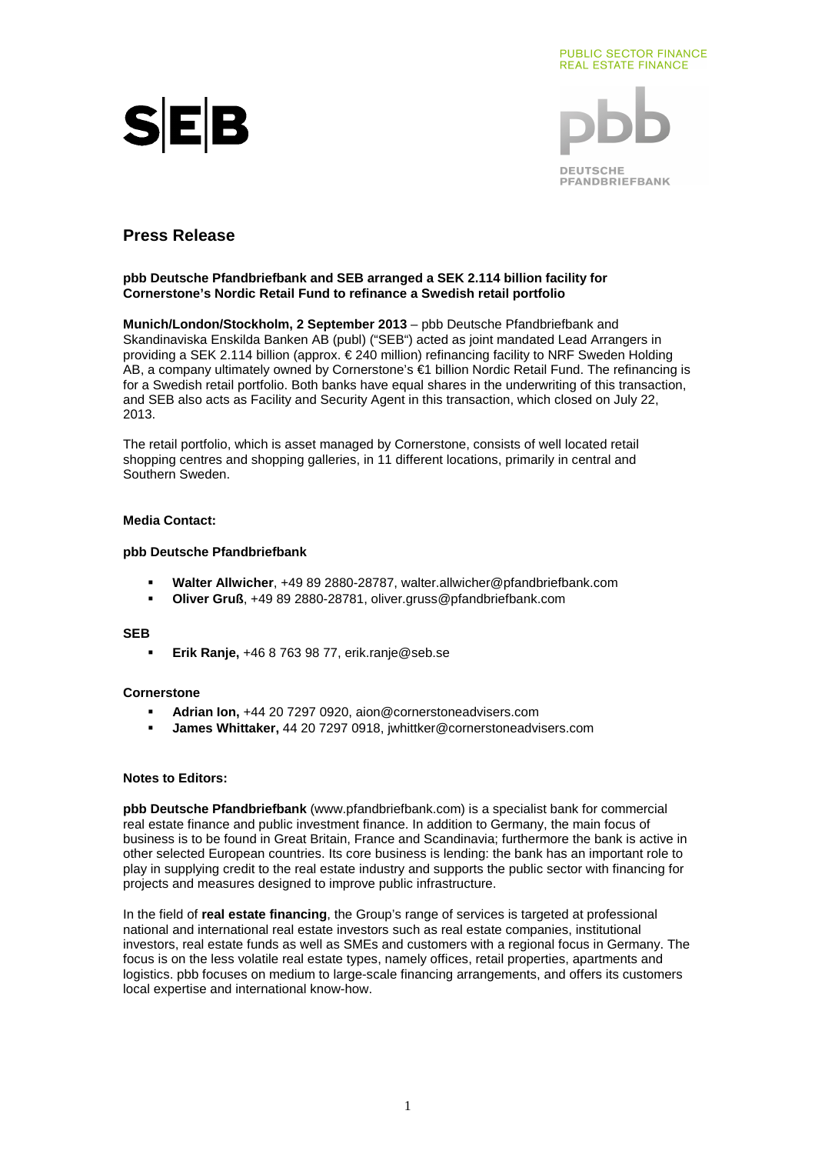





# **Press Release**

### **pbb Deutsche Pfandbriefbank and SEB arranged a SEK 2.114 billion facility for Cornerstone's Nordic Retail Fund to refinance a Swedish retail portfolio**

**Munich/London/Stockholm, 2 September 2013** – pbb Deutsche Pfandbriefbank and Skandinaviska Enskilda Banken AB (publ) ("SEB") acted as joint mandated Lead Arrangers in providing a SEK 2.114 billion (approx. € 240 million) refinancing facility to NRF Sweden Holding AB, a company ultimately owned by Cornerstone's €1 billion Nordic Retail Fund. The refinancing is for a Swedish retail portfolio. Both banks have equal shares in the underwriting of this transaction, and SEB also acts as Facility and Security Agent in this transaction, which closed on July 22, 2013.

The retail portfolio, which is asset managed by Cornerstone, consists of well located retail shopping centres and shopping galleries, in 11 different locations, primarily in central and Southern Sweden.

## **Media Contact:**

### **pbb Deutsche Pfandbriefbank**

- **Walter Allwicher**, +49 89 2880-28787, walter.allwicher@pfandbriefbank.com
- **Oliver Gruß**, +49 89 2880-28781, oliver.gruss@pfandbriefbank.com

### **SEB**

**Erik Ranje,** +46 8 763 98 77, erik.ranje@seb.se

### **Cornerstone**

- **Adrian Ion,** +44 20 7297 0920, aion@cornerstoneadvisers.com
- **James Whittaker,** 44 20 7297 0918, jwhittker@cornerstoneadvisers.com

### **Notes to Editors:**

**pbb Deutsche Pfandbriefbank** (www.pfandbriefbank.com) is a specialist bank for commercial real estate finance and public investment finance. In addition to Germany, the main focus of business is to be found in Great Britain, France and Scandinavia; furthermore the bank is active in other selected European countries. Its core business is lending: the bank has an important role to play in supplying credit to the real estate industry and supports the public sector with financing for projects and measures designed to improve public infrastructure.

In the field of **real estate financing**, the Group's range of services is targeted at professional national and international real estate investors such as real estate companies, institutional investors, real estate funds as well as SMEs and customers with a regional focus in Germany. The focus is on the less volatile real estate types, namely offices, retail properties, apartments and logistics. pbb focuses on medium to large-scale financing arrangements, and offers its customers local expertise and international know-how.